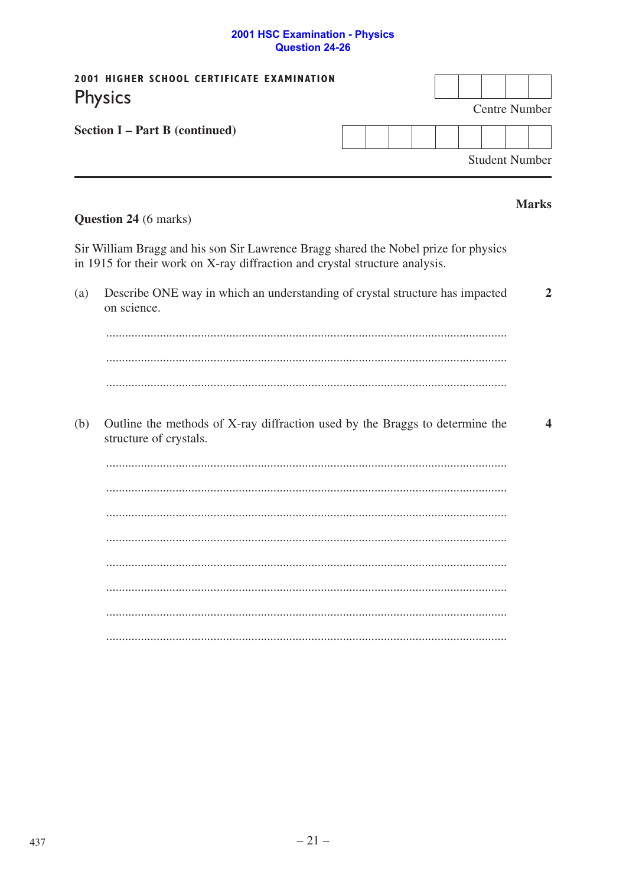## 2001 HSC Examination - Physics<br>Question 24-26

| 2001 HIGHER SCHOOL CERTIFICATE EXAMINATION<br><b>Physics</b> |                                                                                                                                                                    |  |  |  |  |  |  |                       |                      |                |  |  |  |
|--------------------------------------------------------------|--------------------------------------------------------------------------------------------------------------------------------------------------------------------|--|--|--|--|--|--|-----------------------|----------------------|----------------|--|--|--|
|                                                              | Section I - Part B (continued)                                                                                                                                     |  |  |  |  |  |  |                       | <b>Centre Number</b> |                |  |  |  |
|                                                              |                                                                                                                                                                    |  |  |  |  |  |  |                       |                      |                |  |  |  |
|                                                              |                                                                                                                                                                    |  |  |  |  |  |  | <b>Student Number</b> |                      |                |  |  |  |
|                                                              |                                                                                                                                                                    |  |  |  |  |  |  |                       |                      | <b>Marks</b>   |  |  |  |
|                                                              | <b>Question 24</b> (6 marks)                                                                                                                                       |  |  |  |  |  |  |                       |                      |                |  |  |  |
|                                                              | Sir William Bragg and his son Sir Lawrence Bragg shared the Nobel prize for physics<br>in 1915 for their work on X-ray diffraction and crystal structure analysis. |  |  |  |  |  |  |                       |                      |                |  |  |  |
| (a)                                                          | Describe ONE way in which an understanding of crystal structure has impacted<br>on science.                                                                        |  |  |  |  |  |  |                       |                      | $\overline{2}$ |  |  |  |
|                                                              |                                                                                                                                                                    |  |  |  |  |  |  |                       |                      |                |  |  |  |
|                                                              |                                                                                                                                                                    |  |  |  |  |  |  |                       |                      |                |  |  |  |
|                                                              |                                                                                                                                                                    |  |  |  |  |  |  |                       |                      |                |  |  |  |
| (b)                                                          | Outline the methods of X-ray diffraction used by the Braggs to determine the<br>structure of crystals.                                                             |  |  |  |  |  |  |                       |                      | 4              |  |  |  |
|                                                              |                                                                                                                                                                    |  |  |  |  |  |  |                       |                      |                |  |  |  |
|                                                              |                                                                                                                                                                    |  |  |  |  |  |  |                       |                      |                |  |  |  |
|                                                              |                                                                                                                                                                    |  |  |  |  |  |  |                       |                      |                |  |  |  |
|                                                              |                                                                                                                                                                    |  |  |  |  |  |  |                       |                      |                |  |  |  |
|                                                              |                                                                                                                                                                    |  |  |  |  |  |  |                       |                      |                |  |  |  |
|                                                              |                                                                                                                                                                    |  |  |  |  |  |  |                       |                      |                |  |  |  |
|                                                              |                                                                                                                                                                    |  |  |  |  |  |  |                       |                      |                |  |  |  |
|                                                              |                                                                                                                                                                    |  |  |  |  |  |  |                       |                      |                |  |  |  |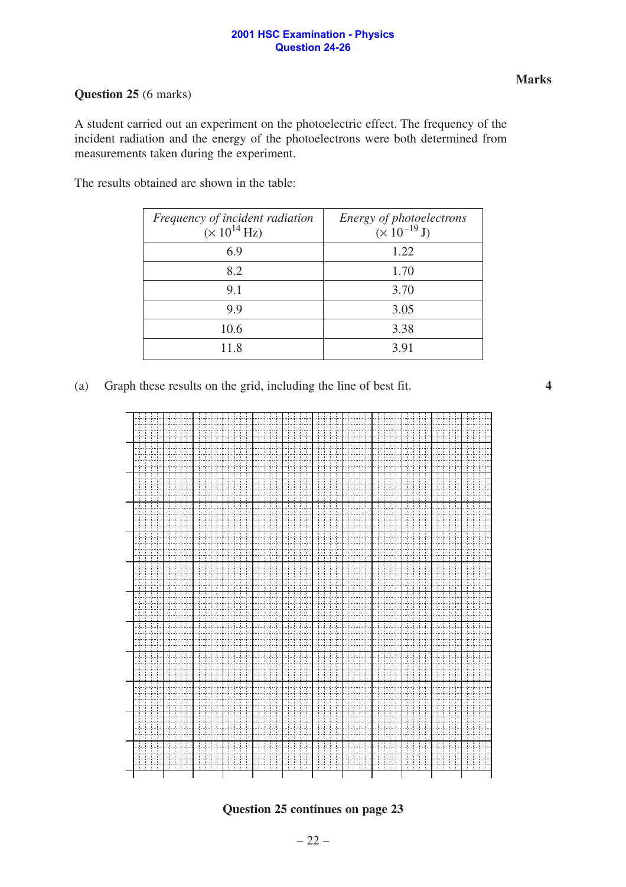## **2001 HSC Examination - Physics Question 24-26**

## **Question 25** (6 marks)

A student carried out an experiment on the photoelectric effect. The frequency of the incident radiation and the energy of the photoelectrons were both determined from measurements taken during the experiment.

The results obtained are shown in the table:

| Frequency of incident radiation<br>$(\times 10^{14}$ Hz) | Energy of photoelectrons<br>$(\times 10^{-19} J)$ |
|----------------------------------------------------------|---------------------------------------------------|
| 6.9                                                      | 1.22                                              |
| 8.2                                                      | 1.70                                              |
| 9.1                                                      | 3.70                                              |
| 9.9                                                      | 3.05                                              |
| 10.6                                                     | 3.38                                              |
| 11.8                                                     | 3.91                                              |
|                                                          |                                                   |

(a) Graph these results on the grid, including the line of best fit.





**Question 25 continues on page 23**